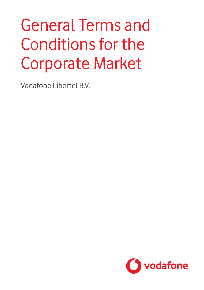# General Terms and Conditions for the Corporate Market

Vodafone Libertel B.V.

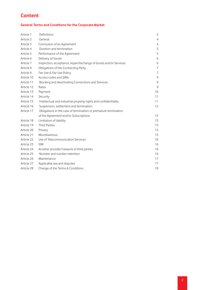# **Content**

#### **General Terms and Conditions for the Corporate Market**

| Article 1  | Definitions                                                      | 3              |
|------------|------------------------------------------------------------------|----------------|
| Article 2  | General                                                          | $\overline{4}$ |
| Article 3  | Conclusion of an Agreement                                       | $\overline{4}$ |
| Article 4  | Duration and termination                                         | 5              |
| Article 5  | Performance of the Agreement                                     | 5              |
| Article 6  | Delivery of Goods                                                | 6              |
| Article 7  | Inspection, acceptance, repair/exchange of Goods and/or Services | 6              |
| Article 8  | Obligations of the Contracting Party                             | $\overline{7}$ |
| Article 9  | Fair Use & Fair Use Policy                                       | $\overline{7}$ |
| Article 10 | Access codes and SIMs                                            | 9              |
| Article 11 | Blocking and deactivating Connections and Services               | 9              |
| Article 12 | Rates                                                            | $\overline{9}$ |
| Article 13 | Payment                                                          | 10             |
| Article 14 | Security                                                         | 11             |
| Article 15 | Intellectual and industrial property rights and confidentiality  | 11             |
| Article 16 | Suspension, settlement and termination                           | 12             |
| Article 17 | Obligations in the case of termination or premature termination  |                |
|            | of the Agreement and/or Subscriptions                            | 13             |
| Article 18 | Limitation of liability                                          | 13             |
| Article 19 | <b>Third Parties</b>                                             | 15             |
| Article 20 | Privacy                                                          | 15             |
| Article 21 | Miscellaneous                                                    | 15             |
| Article 22 | Use of Telecommunication Services                                | 16             |
| Article 23 | <b>SIM</b>                                                       | 16             |
| Article 24 | Another provider/network of third parties                        | 16             |
| Article 25 | Number and number retention                                      | 16             |
| Article 26 | Maintenance                                                      | 17             |
| Article 27 | Applicable law and disputes                                      | 17             |
| Article 28 | Change of the Terms & Conditions                                 | 18             |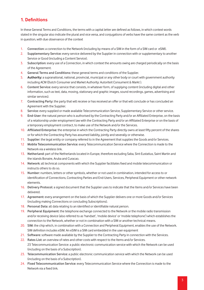#### **1. Definitions**

In these General Terms and Conditions, the terms with a capital letter are defined as follows, in which context words stated in the singular also indicate the plural and vice versa, and conjugations of verbs have the same content as the verb in question, with due observance of the context

- 1. **Connection:** a connection to the Network (including by means of a SIM in the form of a SIM card or eSIM).
- 2. **Supplementary Service:** every service delivered by the Supplier in connection with or supplementary to another Service or Good (including a Content Service).
- 3. **Subscription:** every use of a Connection, in which context the amounts owing are charged periodically on the basis of the Agreement.
- 4. **General Terms and Conditions:** these general terms and conditions of the Supplier.
- 5. **Authority:** a supranational, national, provincial, municipal or any other body or court with government authority including ACM (Dutch Consumer and Market Authority: Autoriteit Consument & Markt ).
- 6. **Content Service:** every service that consists, in whatever form, of supplying content (including digital and other information, such as text, data, moving, stationary and graphic images, sound recordings, games, advertising and similar services).
- 7. **Contracting Party:** the party that will receive or has received an offer or that will conclude or has concluded an Agreement with the Supplier.
- 8. **Service:** every supplied or made available Telecommunication Service, Supplementary Service or other service.
- 9. **End-User:** the natural person who is authorised by the Contracting Party and/or an Affiliated Enterprise, on the basis of a relationship under employment law with the Contracting Party and/or an Affiliated Enterprise or on the basis of a temporary employment contract, to make use of the Network and/or the Services.
- 10. **Affiliated Enterprise:** the enterprise in which the Contracting Party directly owns at least fifty percent of the shares or for which the Contracting Party has assumed liability, jointly and severally or otherwise.
- 11. **Supplier:** the legal entity or company referred to in the Agreement that supplies the Goods and/or Services.
- 12 **Mobile Telecommunication Service:** every Telecommunication Service where the Connection is made to the Network via a wireless link.
- 13. **Netherland:** part of the Netherlands located in Europe, therefore excluding Saba, Sint-Eustatius, Saint Martin and the islands Bonaire, Aruba and Curacao.
- 14. **Network:** all technical components with which the Supplier facilitates fixed and mobile telecommunication or instructs others to do so.
- 15. **Number:** numbers, letters or other symbols, whether or not used in combination, intended for access to or identification of Connections, Contracting Parties and End-Users, Services, Peripheral Equipment or other network elements.
- 16. **Delivery Protocol:** a signed document that the Supplier uses to indicate that the Items and/or Services have been delivered.
- 17. **Agreement:** every arrangement on the basis of which the Supplier delivers one or more Goods and/or Services (including making Connections or concluding Subscriptions).
- 18. **Personal Data:** all data relating to an identified or identifiable natural person.
- 19. **Peripheral Equipment:** the telephone exchange connected to the Network or the mobile radio transmission and/or receiving device (also referred to as 'handset', 'mobile device' or 'mobile telephone') which establishes the connection to the Network, whether or not in combination with a SIM or another technical means.
- 20. **SIM:** the chip which, in combination with a Connection and Peripheral Equipment, enables the use of the Network. SIM definition includes eSIM. An eSIM is a SIM card embedded in the user equipment
- 21. **Software:**software made available by the Supplier to the Contracting Party in connection with the Services.
- 22. **Rates List:** an overview of rates and other costs with respect to the Items and/or Services. 23 Telecommunication Service: a public electronic communication service with which the Network can be used (including on the basis of a Subscription).
- 23. **Telecommunication Service:** a public electronic communication service with which the Network can be used (including on the basis of a Subscription).
- 24. **Fixed Telecommunication Service:** every Telecommunication Service where the Connection is made to the Network via a fixed link.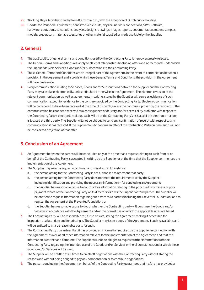- 25. **Working Days:** Monday to Friday from 8 a.m. to 6 p.m., with the exception of Dutch public holidays.
- 26. **Goods:** the Peripheral Equipment, handsfree vehicle kits, physical network connections, SIMs, Software, hardware, quotations, calculations, analyses, designs, drawings, images, reports, documentation, folders, samples, models, preparatory material, accessories or other material supplied or made available by the Supplier.

# **2. General**

- 1. The applicability of general terms and conditions used by the Contracting Party is hereby expressly rejected.
- 2. The General Terms and Conditions will apply to all legal relationships (including offers and Agreements) under which the Supplier delivers Services, Goods and/or Subscriptions to the Contracting Party.
- 3. These General Terms and Conditions are an integral part of the Agreement. In the event of contradiction between a provision in the Agreement and a provision in these General Terms and Conditions, the provision in the Agreement will have preference.
- 4. Every communication relating to Services, Goods and/or Subscriptions between the Supplier and the Contracting Party may take place electronically, unless stipulated otherwise in the Agreement. The electronic version of the relevant communication, as well as agreements in writing, stored by the Supplier will serve as evidence of such communication, except for evidence to the contrary provided by the Contracting Party. Electronic communication will be considered to have been received at the time of dispatch, unless the contrary is proven by the recipient. If the communication has not been received as a consequence of delivery and/or accessibility problems with respect to the Contracting Party's electronic mailbox, such will be at the Contracting Party's risk, also if the electronic mailbox is located at a third party. The Supplier will not be obliged to send any confirmation of receipt with respect to any communication it has received. If the Supplier fails to confirm an offer of the Contracting Party on time, such will not be considered a rejection of that offer.

# **3. Conclusion of an Agreement**

- 1. An Agreement between the parties will be concluded only at the time that a request relating to such from or on behalf of the Contracting Party is accepted in writing by the Supplier or at the time that the Supplier commences the implementation of the Agreement.
- 2. The Supplier may reject a request at all times and may do so if, for instance:
	- a. the person acting for the Contracting Party is not authorised to represent that party;
	- b. the person acting for the Contracting Party does not meet the requirements set by the Supplier including identification and providing the necessary information – for concluding an Agreement;
	- c. the Supplier has reasonable cause to doubt or has information relating to the poor creditworthiness or poor payment record of the Contracting Party or its directors vis-à-vis the Supplier or third parties. The Supplier will be entitled to request information regarding such from third parties (including the Preventel Foundation) and to register the Agreement at the Preventel Foundation; or
	- d. the Supplier has reasonable cause to doubt whether the Contracting party will purchase the Goods and/or Services in accordance with the Agreement and/or the normal use on which the applicable rates are based.
- 3. The Contracting Party will be responsible for, if it so desires, saving the Agreement, making it accessible for inspection at a later date and for printing it. The Supplier may issue a copy of the Agreement, if such is available, and will be entitled to charge reasonable costs for such.
- 4. The Contracting Party guarantees that it has provided all information required by the Supplier in connection with the Agreement, as well as all other information relevant for the implementation of the Agreement, and that this information is correct and complete. The Supplier will not be obliged to request further information from the Contracting Party regarding the intended use of the Goods and/or Services or the circumstances under which these Goods and/or Services will be used.
- 5. The Supplier will be entitled at all times to break off negotiations with the Contracting Party without stating the reasons and without being obliged to pay any compensation or to continue negotiations.
- 6. The person concluding the Agreement on behalf of the Contracting Party guarantees that he/she has provided a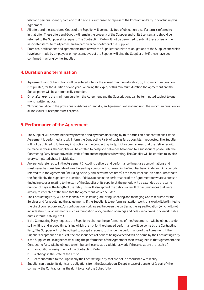valid and personal identity card and that he/she is authorised to represent the Contracting Party in concluding this Agreement.

- 7. All offers and the associated Goods of the Supplier will be entirely free of obligation, also if a term is referred to in that offer. These offers and Goods will remain the property of the Supplier and/or its licensers and should be returned to the Supplier at its request. The Contracting Party will not be permitted to submit these offers or the associated items to third parties, and in particular competitors of the Supplier.
- 8. Promises, notifications and agreements from or with the Supplier that relate to obligations of the Supplier and which have been made by employees or representatives of the Supplier will bind the Supplier only if these have been confirmed in writing by the Supplier.

# **4. Duration and termination**

- 1. Agreements and Subscriptions will be entered into for the agreed minimum duration, or, if no minimum duration is stipulated, for the duration of one year. Following the expiry of this minimum duration the Agreement and the Subscriptions will be automatically extended.
- 2. On or after expiry the minimum duration, the Agreement and the Subscriptions can be terminated subject to one month written notice.
- 3. Without prejudice to the provisions of Articles 4.1 and 4.2, an Agreement will not end until the minimum duration for all individual Subscriptions has expired.

# **5. Performance of the Agreement**

- 1. The Supplier will determine the way in which and by whom (including by third parties on a subcontract basis) the Agreement is performed and will inform the Contracting Party of such as far as possible, if requested. The Supplier will not be obliged to follow any instruction of the Contracting Party. If it has been agreed that the deliveries will be made in phases, the Supplier will be entitled to postpone deliveries belonging to a subsequent phase until the Contracting Party has approved deliveries from preceding phases in writing. The Supplier will be entitled to invoice every completed phase individually.
- 2. Any periods referred to in the Agreement (including delivery and performance times) are approximations and must never be considered deadlines. Exceeding a period will not result in the Supplier being in default. Any periods referred to in the Agreement (including delivery and performance times) are based, inter alia, on data submitted to the Supplier by the suppliers in question. If delays occur in the performance of the Agreement for whatever reason (including causes relating to the staff of the Supplier or its suppliers), the periods will be extended by the same number of days as the length of the delay. This will also apply if the delay is a result of circumstances that were already foreseeable at the time that the Agreement was concluded.
- 3. The Contracting Party will be responsible for installing, adjusting, updating and managing Goods required for the Services and for regulating the adjustments. If the Supplier is to perform installation work, this work will be limited to the direct connection- and/or configuration work agreed between the parties at the agreed location (which will not include structural adjustments, such as foundation work, creating openings and holes, repair work, brickwork, cable ducts, internal cabling, etc.).
- 4. If the Contracting Party requests the Supplier to change the performance of the Agreement, it will be obliged to do so in writing and in good time, failing which the risk for the changed performance will be borne by the Contracting Party. The Supplier will not be obliged to accept a request to change the performance of the Agreement. If the Supplier accepts such a request, the consequences of periods being exceeded will be borne by the Contracting Party.
- 5. If the Supplier incurs higher costs during the performance of the Agreement than was agreed in that Agreement, the Contracting Party will be obliged to reimburse these costs as additional work, if these costs are the result of:
	- a. an additional assignment of the Contracting Party;
	- b. a change in the state of the art; or
	- data submitted to the Supplier by the Contracting Party that are not in accordance with reality.
- 6. Supplier can transfer its rights and obligations from the Subscription. Except in case of transfer of (a part of) the company, the Contractor has the right to cancel the Subscription.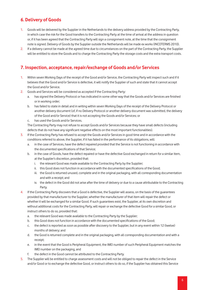# **6. Delivery of Goods**

- 1. Goods will be delivered by the Supplier in the Netherlands to the delivery address provided by the Contracting Party, in which case the risk for the Good transfers to the Contracting Party at the time of arrival at the address in question or, if it has been agreed that the Contracting Party will sign a consignment note, at the time that the consignment note is signed. Delivery of Goods by the Supplier outside the Netherlands will be made ex works (INCOTERMS 2010).
- 2. If a delivery cannot be made at the agreed time due to circumstances on the part of the Contracting Party, the Supplier will be entitled to store the Goods and to charge the Contracting Party the storage costs and the extra transport costs.

#### **7. Inspection, acceptance, repair/exchange of Goods and/or Services**

- 1. Within seven Working Days of the receipt of the Good and/or Service, the Contracting Party will inspect such and if it believes that the Good and/or Service is defective, it will notify the Supplier of such and state that it cannot accept the Good and/or Service.
- 2. Goods and Services will be considered as accepted if the Contracting Party:
	- a. has signed the Delivery Protocol or has indicated in some other way that the Goods and/or Services are finished or in working order;
	- b. has failed to state in detail and in writing within seven Working Days of the receipt of the Delivery Protocol or another delivery document (of, if no Delivery Protocol or another delivery document was submitted, the delivery of the Good and/or Service) that it is not accepting the Goods and/or Services; or
	- c. has used the Goods and/or Services.

The Contracting Party may not refuse to accept Goods and/or Services because they have small defects (including defects that do not have any significant negative effects on the most important functionalities).

- 3. If the Contracting Party has refused to accept the Goods and/or Services in good time and in accordance with the conditions referred to above, the Supplier, if it has failed in the performance of its obligations, will:
	- a. in the case of Services, have the defect repaired provided that the Service is not functioning in accordance with the documented specifications of that Service;
	- b. in the case of Goods, have the defect repaired or have the defective Good exchanged in return for a similar item, at the Supplier's discretion, provided that:
		- i. the relevant Good was made available to the Contracting Party by the Supplier;
		- ii. this Good does not function in accordance with the documented specifications of the Good;
		- iii. the Good is returned unused, complete and in the original packaging, with all corresponding documentation and with a receipt; and
		- iv. the defect in the Good did not arise after the time of delivery or due to a cause attributable to the Contracting Party.
- 4. If the Contracting Party discovers that a Good is defective, the Supplier will assess, on the basis of the guarantees provided by that manufacturer to the Supplier, whether the manufacturer of that item will repair the defect or whether it will be exchanged for a similar Good. If such guarantees exist, the Supplier, at its own discretion and without additional costs for the Contracting Party, will repair or exchange the defective Good for a similar Good, or instruct others to do so, provided that:
	- a. the relevant Good was made available to the Contracting Party by the Supplier;
	- b. this Good does not function in accordance with the documented specifications of the Good;
	- c. the defect is reported as soon as possible after discovery to the Supplier, but in any event within 12 (twelve) months of delivery; and
	- d. the Good is returned complete and in the original packaging, with all corresponding documentation and with a receipt;
	- e. in the event that the Good is Peripheral Equipment, the IMEI number of such Peripheral Equipment matches the IMEI number on the packaging, and
	- the defect in the Good cannot be attributed to the Contracting Party.
- 5. The Supplier will be entitled to charge assessment costs and will not be obliged to repair the defect in the Service and/or Good or to exchange the defective Good, or instruct others to do so, if the Supplier has obtained this Service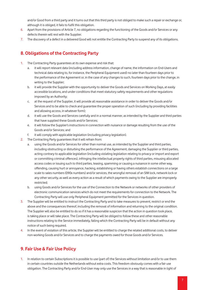and/or Good from a third party and it turns out that this third party is not obliged to make such a repair or exchange or, although it is obliged, it fails to fulfil this obligation.

- 6. Apart from the provisions of Article 7, no obligations regarding the functioning of the Goods and/or Services or any defects therein will rest with the Supplier.
- 7. The discovery of a defect in a delivered Good will not entitle the Contracting Party to suspend any of its obligations.

# **8. Obligations of the Contracting Party**

- 1. The Contracting Party guarantees at its own expense and risk that:
	- a. it will report relevant data (including address information, change of name, the information on End-Users and technical data relating to, for instance, the Peripheral Equipment used) no later than fourteen days prior to the performance of the Agreement or, in the case of any changes to such, fourteen days prior to the change, in writing to the Supplier:
	- b. it will provide the Supplier with the opportunity to deliver the Goods and Services on Working Days, at easily accessible locations, and under conditions that meet statutory safety requirements and other regulations imposed by an Authority;
	- c. at the request of the Supplier, it will provide all reasonable assistance in order to deliver the Goods and/or Services and to be able to check and guarantee the proper operation of such (including by providing facilities and allowing access, in whatever form);
	- d. it will use the Goods and Services carefully and in a normal manner, as intended by the Supplier and third parties that have supplied these Goods and/or Services;
	- e. it will follow the Supplier's instructions in connection with nuisance or damage resulting from the use of the Goods and/or Services; and
	- f. it will comply with applicable legislation (including privacy legislation).
- 2. The Contracting Party guarantees that it will refrain from:
	- a. using the Goods and/or Services for other than normal use, as intended by the Supplier and third parties, including obstructing or disturbing the performance of the Agreement, damaging the Supplier or third parties, acting contrary to applicable legislation (including violating legislation relating to privacy or import and export or committing criminal offences), infringing the intellectual property rights of third parties, misusing allocated access codes or issuing such to third parties, teasing, spamming or causing a nuisance in some other way, offending, causing hurt or annoyance, hacking, establishing or having others establish connections on a large scale to sales numbers (090x numbers) and/or services, the wrongful removal of an SIM lock, network lock or any other security, as well as every action as a result of which payments owing to the Supplier are improperly restricted;
	- b. using Goods and/or Services for the use of the Connection to the Network or networks of other providers of electronic communication services which do not meet the requirements for connection to the Network. The Contracting Party will use only Peripheral Equipment permitted for the Services in question.
- 3. The Supplier will be entitled to instruct the Contracting Party and to take measures to prevent, restrict or end the above and the consequences thereof, including the removal of information and returning to the original condition. The Supplier will also be entitled to do so if it has a reasonable suspicion that the action in question took place, is taking place or will take place. The Contracting Party will be obliged to follow these and other reasonable instructions relating to the Service immediately, failing which the Contracting Party will be in default without any notice of such being required.
- 4. In the event of violation of this article, the Supplier will be entitled to charge the related additional costs, to deliver non-working Goods and/or Services and to charge the payments owed for those Goods and/or Services.

# **9. Fair Use & Fair Use Policy**

1. In relation to certain Subscriptions it is possible to use (part of) the Services without limitation and/or to use them in certain countries outside the Netherlands without extra costs. This freedom obviously comes with a fair use obligation. The Contracting Party and/or End-User may only use the Services in a way that is reasonable in light of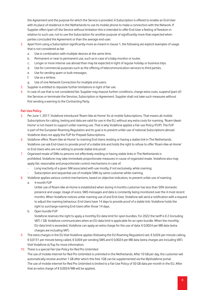the Agreement and the purpose for which the Service is provided. A Subscription is offered to enable an End-User with its place of residence in the Netherlands to use its mobile phone to make a connection with the Network. If Supplier offers (part of) the Service without limitation this is intended to offer End-User a feeling of freedom in relation to such use, not to use the Subscription for another purpose of significantly more than expected when parties concluded the Agreement or than the average end-user.

- 2. Apart from using a Subscription significantly more as meant in clause 1, the following are explicit examples of usage that is not considered as fair
	- a. Use is combination with multiple devices at the same time.
	- b. Permanent or near to permanent use, such as in case of a baby monitor or router.
	- c. Longer or more intense use abroad than may be expected in light of regular holiday or business trips.
	- d. Use for commercial purposes such as the offering of telecommunication services to third parties.
	- e. Use for sending spam or bulk messages.
	- f. Use as a simbox.
	- g. Use of one Network Connection for multiple end-users.
- 3. Supplier is entitled to stipulate further limitations in light of fair use.
- 4. In case of use that is not considered fair, Supplier may impose further conditions, charge extra costs, suspend (part of) the Services or terminate the Services, Subscription or Agreement. Supplier shall not take such measures without first sending a warning to the Contracting Party.

#### **Fair Use Policy**

- 5. Per June 1, 2017, Vodafone introduced 'Roam-like-at-Home' for al mobile Subscriptions. That means all mobile Subscriptions for calling, texting and data are valid for use in the EU, without any extra costs for roaming. 'Roam-likeat-Home' is not meant to support unfair roaming use. That is why Vodafone applies a Fair use Policy (FUP). The FUP is part of the European Roaming Regulation and its goal is to prevent unfair use of national Subscriptions abroad. Vodafone does not apply the FUP for Prepaid-Subscriptions.
- 6. Vodafone offers 'Roam-like-at-Home' to roaming End-Users residing or having a stable link in The Netherlands. Vodafone can ask End-Users to provide proof of a stable link and holds the right to refuse to offer 'Roam-like-at-Home' to End-Users who are not willing to provide stable link proof.
- 7. Organised resale of SIMs to persons not effectively residing or having stable links in The Netherlands is prohibited. Vodafone may take immediate proportionate measures in cause of organised resale. Vodafone also may apply fair, reasonable and proportionate control mechanisms in case of:
	- Long inactivity of a given SIM associated with use mostly, if not exclusively, while roaming;
	- Subscription and sequential use of multiple SIMs by same customer while roaming.
- 8. Vodafone applies various control mechanisms, based on objective indicators, to prevent unfair use of roaming:
	- a. 4 month FUP

Unfair use of Roam-like-at-Home is established when during 4 months customer has less than 50% domestic presence and usage. Usage of voice, SMS messages and data is constantly being monitored over the 4 most recent months. When Vodafone notices unfair roaming use of and End-User, Vodafone will send a notification with a request to adjust the roaming behaviour. End-Users have 14 days to provide proof of a stable link. Vodafone holds the right to surcharge roaming End-Users after those 14 days.

b. Open bundle FUP

Vodafone reserves the right to apply a monthly EU-data limit for open bundles. For 2022 the tariff is € 2 (including VAT) / GB. Vodafone communicates when an EU-data limit is applicable for an open bundle. When the monthly EU-data limit is exceeded, Vodafone can apply an extra charge for the use of data: € 0,0024 per MB data (extra charges are including VAT).

- 9. The extra charges in the EU that Vodafone applies (following the EU Roaming Regulation) are: € 0,026 per minute calling, € 0,0131 per minute being called, € 0,004 per sending SMS and € 0,0024 per MB data (extra charges are including VAT). Visit Vodafone.nl/fup for more information.
- 10. There is a special Fair Use Policy for Red Pro Unlimited

The use of mobile internet for Red Pro Unlimited is unlimited in the Netherlands. After 10 GB per day, the customer will automatically receive another 1 GB after which this free 1GB can be supplemented via the MyVodafone portal. The use of mobile internet for Red Pro Unlimited is limited to a Fair Use Policy of 50 GB data per month in the EU. After that an extra charge of € 0,0024/MB will be applied..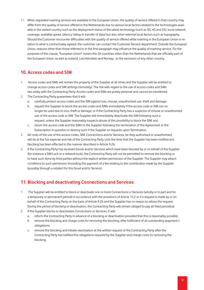11. When regulated roaming services are available in the European Union, the quality of service offered in that country may differ from the quality of service offered in the Netherlands due to various local factors related to the technologies available in the visited country such as the deployment status of the latest technology (such as 3G, 4G and 5G), local network coverage, available speed, latency (delay in transfer of data) but also other external local factors such as topography. Should the Customer encounter difficulties with the quality of service offered while roaming in the European Union in relation to what is contractually agreed, the customer can contact the Customer Service department. Outside the European Union, reasons other than those referred to in the first paragraph may influence the quality of roaming service. For the purposes of this clause, "European Union" means the 26 countries other than the Netherlands that are officially part of the European Union, as well as Iceland, Liechtenstein and Norway , to the exclusion of any other country.

#### **10. Access codes and SIM**

- 1. Access codes and SIMs will remain the property of the Supplier at all times and the Supplier will be entitled to change access codes and SIM settings (remotely). The risk with regard to the use of access codes and SIMs lies solely with the Contracting Party. Access codes and SIMs are purely personal and cannot be transferred.
- 2. The Contracting Party guarantees that it will:
	- a. carefully protect access codes and the SIM against loss, misuse, unauthorised use, theft and damage;
	- b. request the Supplier to block the access codes and SIMs immediately if the access code or SIM can no longer be used due to loss, theft or damage, or if the Contracting Party has a suspicion of misuse or unauthorised use of the access code or SIM. The Supplier will immediately deactivate the SIM following such a request, unless the Supplier reasonably suspects abuse of this possibility to block the SIM; and
	- c. return the access code and the SIMs to the Supplier following the termination of the Agreement or the Subscription in question or destroy such if the Supplier so requests upon Termination.
- 3. All costs of the use of the access codes, SIM, Connections and/or Services, be they authorised or unauthorised, will be at the full expense and risk of the Contracting Party until the time that the Supplier has been notified and blocking has been effected in the manner described in Article 9.2b.
- 4. If the Contracting Party has received Goods and/or Services which have been blocked by or on behalf of the Supplier (for instance a SIM Lock or a network lock), the Contracting Party will not be permitted to remove the blocking or to have such done by third parties without the explicit written permission of the Supplier. The Supplier may attach conditions to such permission (including the payment of a fee relating to the contribution made by the Supplier (possibly through a retailer) for this Good and/or Service).

# **11. Blocking and deactivating Connections and Services**

- 1. The Supplier will be entitled to block or deactivate one or more Connections or Services (wholly or in part and for a temporary or permanent period) in accordance with the provisions of Article 15.2 or if a request is made by or on behalf of the Contracting Party on the basis of Article 9.2b and the Supplier has no reason to refuse the request. During the period of blocking or deactivation, the Contracting Party will remain obliged to pay all fixed periodical
- 2. If the Supplier blocks or deactivates Connections or Services, it will:
	- a. inform the Contracting Party in advance of a blocking or deactivation provided that this is reasonably possible;
	- b. remove the blocking and charge costs for removing the blocking, after fulfilment of all outstanding (payment-) obligations;
	- c. remove the blocking and initiate reactivation at the written request of the Contracting Party after the Contracting Party has fulfilled the obligations required by the Supplier and charge costs for removing the blocking.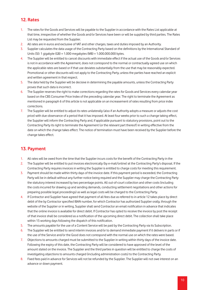#### **12. Rates**

- 1. The rates for the Goods and Services will be payable to the Supplier in accordance with the Rates List applicable at that time, irrespective of whether the Goods and/or Services have been or will be supplied by third parties. The Rates List may be requested from the Supplier.
- 2. All rates are in euros and exclusive of VAT and other charges, taxes and duties imposed by an Authority.
- 3. Supplier calculates the data usage of the Contracting Party based on the definitions by the International Standard of Units (SI): 1 gigabyte (GB) = 1.000 megabytes (MB) = 1.000.000.000 bytes.
- 4. The Supplier will be entitled to cancel discounts with immediate effect if the actual use of the Goods and/or Services is not in accordance with the Agreement, does not correspond to the normal or contractually agreed use on which the applicable rates are based or if that use deviates substantially from the use that may be reasonably expected. Promotional or other discounts will not apply to the Contracting Party, unless the parties have reached an explicit and written agreement in that respect.
- 5. The data held by the Supplier will be decisive in determining the payable amounts, unless the Contracting Party proves that such data is incorrect.
- 6. The Supplier reserves the right to make corrections regarding the rates for Goods and Services every calendar year based on the CBS Consumer Price Index of the preceding calendar year. The right to terminate the Agreement as mentioned in paragraph 6 of this article is not applicable on an increasement of rates resulting from price index corrections.
- 7. The Supplier will be entitled to adjust its rates unilaterally (also if an Authority adopts a measure or adjusts the cost price) with due observance of a period that it has imposed. At least four weeks prior to such a change taking effect, the Supplier will inform the Contracting Party and, if applicable pursuant to statutory provisions, point out to the Contracting Party its right to terminate the Agreement (or the relevant part thereof) in writing effective from the date on which the change takes effect. The notice of termination must have been received by the Supplier before the change takes effect.

#### **13. Payment**

- 1. All rates will be owed from the time that the Supplier incurs costs for the benefit of the Contracting Party in the
- 2. The Supplier will be entitled to put invoices electronically (by e-mail/online) at the Contracting Party's disposal. If the Contracting Party requires invoices in writing the Supplier is entitled to charge costs for meeting this requirement.
- 3. Payment should be made within thirty days of the invoice date. If this payment period is exceeded, the Contracting Party will be in default without any further notice being required and the Supplier may charge the Contracting Party the statutory interest increased by two percentage points. All out-of-court collection and other costs (including the costs incurred for drawing up and sending demands, conducting settlement negotiations and other actions for preparing possible legal proceedings) as well as legal costs will be charged to the Contracting Party.
- 4. If Contractor and Supplier have agreed that payment of all fees due as referred to in article 12 takes place by direct debit of the by Contractor specified IBAN number, for which Contractor has authorized Supplier orally, through the website of the Supplier or in writing, Supplier shall send Contractor an email notification in advance that indicates that the online invoice is available for direct debit. If Contractor has opted to receive the invoice by post the receipt of that invoice shall be considered as a notification of the upcoming direct debit. The collection shall take place within 15 working days following the dispatch of this notification.
- 5. The amounts payable for the use of a Content Service will be paid by the Contracting Party via its Subscription.
- 6. The Supplier will be entitled to send interim invoices and/or to demand immediate payment if it delivers in parts or if the use of the Service and/or the Good does not correspond with the normal use on which the rates were based.
- 7. Objections to amounts charged must be submitted to the Supplier in writing within thirty days of the invoice date. Following the expiry of this date, the Contracting Party will be considered to have approved of the level of the amount stated on the invoice. The Supplier and the third parties in question will be entitled to charge the costs of investigating objections to amounts charged (including administration costs) to the Contracting Party.
- 8. Fixed fees paid in advance for Services will not be refunded by the Supplier. The Supplier will not owe interest on an advance or down payment.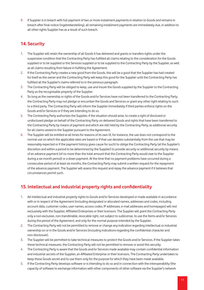9. If Supplier is in breach with full payment of two or more instalment payments in relation to Goods and remains in breach after final notice (ingebrekestelling), all remaining installment payments are immediately due, in addition to all other rights Supplier has as a result of such breach.

# **14. Security**

- 1. The Supplier will retain the ownership of all Goods it has delivered and grants or transfers rights under the suspensive condition that the Contracting Party has fulfilled all claims relating to the consideration for the Goods supplied or to be supplied or the Services supplied or to be supplied to the Contracting Party by the Supplier, as well as all claims resulting from failure in fulfilling the Agreement.
- 2. If the Contracting Party creates a new good from the Goods, this will be a good that the Supplier has had created for itself as the owner and the Contracting Party will keep this good for the Supplier until the Contracting Party has fulfilled all the Supplier's claims referred to in the previous paragraph.
- 3. The Contracting Party will be obliged to keep, use and insure the Goods supplied by the Supplier to the Contracting Party as the recognisable property of the Supplier.
- 4. So long as the ownership or rights of the Goods and/or Services have not been transferred to the Contracting Party, the Contracting Party may not pledge or encumber the Goods and Services or grant any other right relating to such to a third party. The Contracting Party will inform the Supplier immediately if third parties enforce rights on the Goods and/or Services or if they are intending to do so.
- 5. The Contracting Party authorises the Supplier, if the situation should arise, to create a right of disclosed or undisclosed pledge on behalf of the Contracting Party on delivered Goods and rights that have been transferred to the Contracting Party by means of payment and which are still held by the Contracting Party, as additional security for all claims vested in the Supplier pursuant to the Agreement.
- 6. The Supplier will be entitled at all times for reasons of its own (if, for instance, the use does not correspond to the normal use on which the applicable rates are based or if that use deviates substantially from the use that may be reasonably expected or if the payment history gives cause for such) to oblige the Contracting Party (at the Supplier's discretion and within a period to be determined by the Supplier) to provide security or additional security by means of an advance payment (of no more than the total amount that the Contracting Party would owe to the Supplier during a six-month period) or a down payment. At the time that no payment problems have occurred during a consecutive period of at least six months, the Contracting Party may submit a written request for the repayment of the advance payment. The Supplier will assess this request and repay the advance payment if it believes that circumstances permit such.

# **15. Intellectual and industrial property rights and confidentiality**

- 1. All intellectual and industrial property rights to Goods and/or Services developed or made available in accordance with or in respect of the Agreement (including designated or allocated names, addresses and codes, including account data, customer codes, user names, access codes, IP addresses, e-mail addresses and homepages) will rest exclusively with the Supplier, Affiliated Enterprises or their licensors. The Supplier will grant the Contracting Party only a non-exclusive, non-transferable, revocable right, not subject to sublicense, to use the Items and/or Services during the period of the Agreement, and only for the normal purpose intended by the Supplier.
- 2. The Contracting Party will not be permitted to remove or change any indication regarding intellectual or industrial ownership on or in the Goods and/or Services (including indications regarding the confidential character and non-disclosure).
- 3. The Supplier will be permitted to take technical measures to protect the Goods and/or Services. If the Supplier takes these technical measures, the Contracting Party will not be permitted to remove or avoid this security.
- 4. The Contracting Party is aware that the Goods and/or Services made available may contain confidential information and industrial secrets of the Supplier, an Affiliated Enterprise or their licensors. The Contracting Party undertakes to keep these Goods secret and to use them only for the purpose for which they have been made available.
- 5. If the Contracting Party develops software or is intending to do so and in connection with the interoperability (the capacity of software to exchange information with other components of other software via the Supplier's network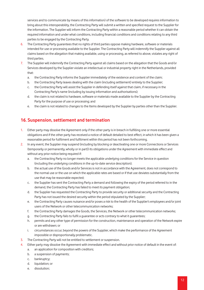services and to communicate by means of this information) of the software to be developed requires information to bring about this interoperability, the Contracting Party will submit a written and specified request to the Supplier for the information. The Supplier will inform the Contracting Party within a reasonable period whether it can obtain the required information and under what conditions, including financial conditions and conditions relating to any third parties to be engaged by the Contracting Party.

- 6. The Contracting Party guarantees that no rights of third parties oppose making hardware, software or materials intended for use or processing available to the Supplier. The Contracting Party will indemnify the Supplier against all claims based on the allegation that making available, using or processing, as referred to above, violates any right of third parties.
- 7. The Supplier will indemnify the Contracting Party against all claims based on the allegation that the Goods and/or Services developed by the Supplier violate an intellectual or industrial property right in the Netherlands, provided that:
	- a. the Contracting Party informs the Supplier immediately of the existence and content of the claim;
	- b. the Contracting Party leaves dealing with the claim (including settlement) entirely to the Supplier;
	- c. the Contracting Party will assist the Supplier in defending itself against that claim, if necessary in the Contracting Party's name (including by issuing information and authorisations);
	- d. the claim is not related to hardware, software or materials made available to the Supplier by the Contracting Party for the purpose of use or processing; and
	- e. the claim is not related to changes to the Items developed by the Supplier by parties other than the Supplier.

# **16. Suspension, settlement and termination**

- 1. Either party may dissolve the Agreement only if the other party is in breach in fulfilling one or more essential obligations and if the other party has received a notice of default detailed to best effect, in which it has been given a reasonable period for fulfilment and fulfilment within this period has not been forthcoming.
- 2. In any event, the Supplier may suspend (including by blocking or deactivating one or more Connections or Services (temporarily or permanently, wholly or in part)) its obligations under the Agreement with immediate effect and without any prior notice being required if:
	- a. the Contracting Party no longer meets the applicable underlying conditions for the Service in question (including the underlying conditions in the up-to-date service description);
	- b. the actual use of the Goods and/or Services is not in accordance with the Agreement, does not correspond to the normal use or the use on which the applicable rates are based or if that use deviates substantially from the use that may be reasonable expected;
	- c. the Supplier has sent the Contracting Party a demand and following the expiry of the period referred to in the demand, the Contracting Party has failed to meet its payment obligation;
	- d. the Supplier has requested the Contracting Party to provide security or additional security and the Contracting Party has not issued the desired security within the period stipulated by the Supplier;
	- e. the Contracting Party causes nuisance and/or poses a risk to the health of the Supplier's employees and/or joint users of the Network or other telecommunication networks;
	- f. the Contracting Party damages the Goods, the Services, the Network or other telecommunication networks;
	- g. the Contracting Party fails to fulfil a guarantee or acts contrary to what it guarantees;
	- h. permits and any other type of permission for the construction, maintenance and operation of the Network expire or are withdrawn; or
	- i. circumstances occur, beyond the powers of the Supplier, which make the performance of the Agreement impossible or disproportionally problematic.
- 3. The Contracting Party will not be entitled to settlement or suspension.
- 4. Either party may dissolve the Agreement with immediate effect and without prior notice of default in the event of:
	- a. an application for composition with creditors;
	- b. a suspension of payments;
	- c. bankruptcy;
	- d. liquidation; or
	- e. dissolution;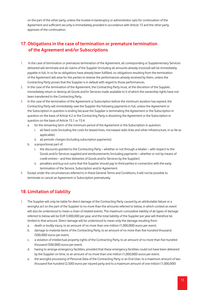on the part of the other party, unless the trustee in bankruptcy or administrator opts for continuation of the Agreement and sufficient security is immediately provided in accordance with Article 13 and the other party approves of the continuation.

# **17. Obligations in the case of termination or premature termination of the Agreement and/or Subscriptions**

- 1. In the case of termination or premature termination of the Agreement, all corresponding or Supplementary Services delivered will terminate and all claims of the Supplier (including all amounts already invoiced) will be immediately payable in full. In so far as obligations have already been fulfilled, no obligations resulting from the termination of the Agreement will arise for the parties to reverse the performances already received by them, unless the Contracting Party proves that the Supplier is in default with regard to those performances.
- 2. In the case of the termination of the Agreement, the Contracting Party must, at the discretion of the Supplier, immediately return or destroy all Goods and/or Services made available to it of which the ownership rights have not been transferred to the Contracting Party.
- 3. In the case of the termination of the Agreement or Subscription before the minimum duration has expired, the Contracting Party will immediately owe the Supplier the following payments in full, unless the Agreement or the Subscription in question is ending because the Supplier is terminating the Agreement or the Subscription in question on the basis of Article 4.2 or the Contracting Party is dissolving the Agreement or the Subscription in question on the basis of Article 15.1 or 15.4:
	- a. for the remaining term of the minimum period of the Agreement or the Subscription in question:
		- i. all fixed costs (including the costs for leased lines, microwave radio links and other infrastructure, in so far as applicable);
		- ii. all periodic charges (including subscription payments);
	- b. a proportional part of:
		- i. the discounts granted to the Contracting Party whether or not through a retailer with respect to the Goods and/or Services supplied and reimbursements (including payments – whether or not by means of credit entries – and free deliveries of Goods and/or Services by the Supplier);
		- ii. penalties and buy-out sums that the Supplier should pay to third parties in connection with the early termination of the Service, Subscription and/or Agreement.
- 4. Except under the circumstances referred to in these General Terms and Conditions, it will not be possible to terminate or cancel an Agreement or Subscription prematurely.

#### **18. Limitation of liability**

- 1. The Supplier will only be liable for direct damage of the Contracting Party caused by an attributable failure or a wrongful act on the part of the Supplier to no more than the amounts referred to below, in which context an event will also be understood to mean a chain of related events. The maximum cumulative liability of all types of damage referred to below will be EUR 3,000,000 per year, and the total liability of the Supplier per year will therefore be limited to that amount. Direct damage will be understood to mean only the damage resulting from:
	- a. death or bodily injury, to an amount of no more than one million (1,000,000) euros per event;
	- b. damage to material items of the Contracting Party, to an amount of no more than five hundred thousand (500,000) euros per event;
	- c. a violation of intellectual property rights of the Contracting Party, to an amount of no more than five hundred thousand (500,000) euros per event;
	- d. having to arrange emergency facilities, provided that these emergency facilities could not have been delivered by the Supplier on time, to an amount of no more than one million (1,000,000) euros per event;
	- e. the wrongful processing of Personal Data of the Contracting Party or an End-User, to a maximum amount of two thousand five hundred (2,500) euros per injured party and to a maximum amount of one million (1,000,000)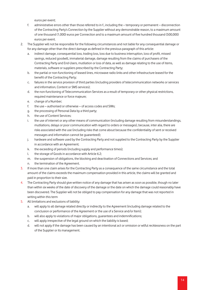euros per event;

- f. administrative errors other than those referred to in f., including the temporary or permanent disconnection of the Contracting Party's Connection by the Supplier without any demonstrable reason, to a maximum amount of one thousand (1,000) euros per Connection and to a maximum amount of five hundred thousand (500,000) euros per event.
- 2. The Supplier will not be responsible for the following circumstances and not liable for any consequential damage or for any damage other than the direct damage as defined in the previous paragraph of this article:
	- a. indirect damage, consequential loss, trading loss, loss due to business interruption, loss of profit, missed savings, reduced goodwill, immaterial damage, damage resulting from the claims of purchasers of the Contracting Party and End-Users, mutilation or loss of data, as well as damage relating to the use of items, materials, software or suppliers prescribed by the Contracting Party;
	- b. the partial or non-functioning of leased lines, microwave radio links and other infrastructure leased for the benefit of the Contracting Party;
	- c. failures in the service provision of third parties (including providers of telecommunication networks or services and information, Content or SMS services);
	- d. the non-functioning of Telecommunication Services as a result of temporary or other physical restrictions, required maintenance or force majeure;
	- e. change of a Number;
	- f. the use authorised or otherwise of access codes and SIMs;
	- g. the processing of Personal Data by a third party;
	- h. the use of Content Services;
	- i. the use of internet or any other means of communication (including damage resulting from misunderstandings, mutilations, delays or poor communication with regard to orders or messages), because, inter alia, there are risks associated with the use (including risks that come about because the confidentiality of sent or received messages and information cannot be guaranteed);
	- j. hardware and software used by the Contracting Party and not supplied to the Contracting Party by the Supplier in accordance with an Agreement:
	- k. the exceeding of periods (including supply and performance times);
	- l. the storage of Goods in accordance with Article 6.2;
	- m. the suspension of obligations, the blocking and deactivation of Connections and Services; and
	- n. the termination of the Agreement.
- 3. If more than one claim arises for the Contracting Party as a consequence of the same circumstance and the total amount of the claims exceeds the maximum compensation provided in this article, the claims will be granted and paid in proportion to their size.
- 4. The Contracting Party should give written notice of any damage that has arisen as soon as possible, though no later than within six weeks of the date of discovery of the damage or the date on which the damage could reasonably have been discovered. The Supplier will not be obliged to pay compensation for any damage that was not reported in writing within this term
- 5. All limitations and exclusions of liability:
	- a. will apply to all damage related directly or indirectly to the Agreement (including damage related to the conclusion or performance of the Agreement or the use of a Service and/or Item);
	- b. will also apply to violations of major obligations, guarantees and indemnifications;
	- c. will apply irrespective of the legal ground on which the liability is based;
	- d. will not apply if the damage has been caused by an intentional act or omission or wilful recklessness on the part of the Supplier or its management.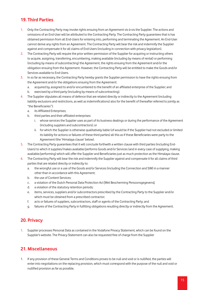#### **19. Third Parties**

- 1. Only the Contracting Party may invoke rights ensuing from an Agreement vis-à-vis the Supplier. The actions and omissions of an End-User will be attributed to the Contracting Party. The Contracting Party guarantees that is has obtained permission from all End-Users for entering into, performing and terminating the Agreement. An End-User cannot derive any rights from an Agreement. The Contracting Party will bear the risk and indemnify the Supplier against and compensate it for all claims of End-Users (including in connection with privacy legislation).
- 2. The Contracting Party will require the prior written permission of the Supplier for acquiring or instructing others to acquire, assigning, transferring, encumbering, making available (including by means of rental) or performing (including by means of subcontracting) the Agreement, the rights ensuing from the Agreement and/or the obligation ensuing from the Agreement. However, the Contracting Party will be entitled to make the Goods and/or Services available to End-Users.
- 3. In so far as necessary, the Contracting Party hereby grants the Supplier permission to have the rights ensuing from the Agreement and/or the obligations ensuing from the Agreement:
	- a. acquired by, assigned to and/or encumbered to the benefit of an affiliated enterprise of the Supplier; and
	- b. exercised by a third party (including by means of subcontracting).
- 4. The Supplier stipulates all means of defence that are related directly or indirectly to the Agreement (including liability exclusions and restrictions, as well as indemnifications) also for the benefit of (hereafter referred to jointly as "the Beneficiaries"):
	- a. its Affiliated Enterprises;
	- b. third parties and their affiliated enterprises:
		- i. whose services the Supplier uses as part of its business dealings or during the performance of the Agreement (including suppliers and subcontractors); or
		- ii. for which the Supplier is otherwise qualitatively liable (of would be if the Supplier had not excluded or limited its liability for actions or failures of these third parties) all this as if these Beneficiaries were party to the Agreement (the 'Himalaya clause' below).
- 5. The Contracting Party guarantees that it will conclude forthwith a written clause with third parties (including End-Users) to which it supplies/makes available/performs Goods and/or Services (and in every case of supplying, making available/performing) which will offer the Supplier and Beneficiaries just as much protection as the Himalaya clause.
- 6. The Contracting Party will bear the risk and indemnify the Supplier against and compensate it for all claims of third parties that are related directly or indirectly to:
	- a. the wrongful use or a use of the Goods and/or Services (including the Connection and SIM) in a manner other than in accordance with this Agreement;
	- b. the use of Content Services;
	- c. a violation of the Dutch Personal Data Protection Act [Wet Bescherming Persoonsgegevens];
	- d. a violation of the statutory retention periods;
	- e. items, services, suppliers and/or subcontractors prescribed by the Contracting Party to the Supplier and/or which must be obtained from a prescribed contractor;
	- f. acts or failures of suppliers, subcontractors, staff or agents of the Contracting Party; and
	- g. failures of the Contracting Party in fulfilling obligations resulting directly or indirectly from the Agreement.

#### **20. Privacy**

1. Supplier processes Personal Data as contained in the Vodafone Privacy Statement, which can be found on the Supplier's website. The Privacy Statement can also be requested free of charge from the Supplier

#### **21. Miscellaneous**

1. If any provision of these General Terms and Conditions proves to be null and void or is nullified, the parties will enter into negotiations on the replacing provision, which must correspond with the purpose of the null and void or nullified provision as far as possible.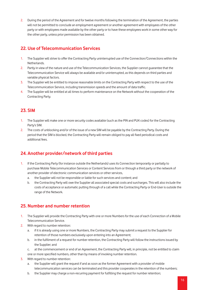2. During the period of the Agreement and for twelve months following the termination of the Agreement, the parties will not be permitted to conclude an employment agreement or another agreement with employees of the other party or with employees made available by the other party or to have these employees work in some other way for the other party, unless prior permission has been obtained.

# **22. Use of Telecommunication Services**

- 1. The Supplier will strive to offer the Contracting Party uninterrupted use of the Connection/Connections within the Netherlands.
- 2. Partly in view of the nature and use of the Telecommunication Services, the Supplier cannot guarantee that the Telecommunication Service will always be available and/or uninterrupted, as this depends on third parties and variable physical factors.
- 3. The Supplier will be entitled to impose reasonable limits on the Contracting Party with respect to the use of the Telecommunication Service, including transmission speeds and the amount of data traffic.
- 4. The Supplier will be entitled at all times to perform maintenance on the Network without the cooperation of the Contracting Party.

#### **23. SIM**

- 1. The Supplier will make one or more security codes available (such as the PIN and PUK codes) for the Contracting Party's SIM.
- 2. The costs of unblocking and/or of the issue of a new SIM will be payable by the Contracting Party. During the period that the SIM is blocked, the Contracting Party will remain obliged to pay all fixed periodical costs and additional fees.

# **24. Another provider/network of third parties**

- 1. If the Contracting Party (for instance outside the Netherlands) uses its Connection temporarily or partially to purchase Mobile Telecommunication Services or Content Services from or through a third party or the network of another provider of electronic communication services or other services,
	- a. the Supplier will not be responsible or liable for such services and content; and
	- b. the Contracting Party will owe the Supplier all associated special costs and surcharges. This will also include the costs of acceptance or automatic putting through of a call while the Contracting Party or End-User is outside the range of the Network.

#### **25. Number and number retention**

- 1. The Supplier will provide the Contracting Party with one or more Numbers for the use of each Connection of a Mobile Telecommunication Service.
- 2. With regard to number retention:
	- a. if it is already using one or more Numbers, the Contracting Party may submit a request to the Supplier for retention of those numbers exclusively upon entering into an Agreement;
	- b. in the fulfilment of a request for number retention, the Contracting Party will follow the instructions issued by the Supplier; and
	- c. at the commencement or end of an Agreement, the Contracting Party will, in principle, not be entitled to claim one or more specified numbers, other than by means of invoking number retention.
- 3. With regard to number retention:
	- a. the Supplier will grant the request if and as soon as the former Agreement with a provider of mobile telecommunication services can be terminated and this provider cooperates in the retention of the numbers;
	- b. the Supplier may charge a non-recurring payment for fulfilling the request for number retention;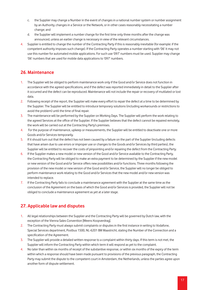- c. the Supplier may change a Number in the event of changes in a national number system or number assignment by an Authority, changes in a Service or the Network, or in other cases reasonably necessitating a number change; and
- d. the Supplier will implement a number change for the first time only three months after the change was announced, unless an earlier change is necessary in view of the relevant circumstances.
- 4. Supplier is entitled to change the number of the Contracting Party if this is reasonably inevitable (for example: if the competent authority imposes such change). If the Contracting Party operates a number starting with '06' it may not use this number for automated mobile applications. For such use '097' numbers must be used. Supplier may change '06' numbers that are used for mobile data applications to '097' numbers.

#### **26. Maintenance**

- 1. The Supplier will be obliged to perform maintenance work only if the Good and/or Service does not function in accordance with the agreed specifications, and if the defect was reported immediately in detail to the Supplier after it occurred and the defect can be reproduced. Maintenance will not include the repair or recovery of mutilated or lost data.
- 2. Following receipt of the report, the Supplier will make every effort to repair the defect at a time to be determined by the Supplier. The Supplier will be entitled to introduce temporary solutions (including workarounds or restrictions to avoid the problem) until the time of final repair.
- 3. The maintenance will be performed by the Supplier on Working Days. The Supplier will perform the work relating to the agreed Services at the office of the Supplier. If the Supplier believes that the defect cannot be repaired remotely, the work will be carried out at the Contracting Party's premises.
- 4. For the purpose of maintenance, upkeep or measurements, the Supplier will be entitled to deactivate one or more Goods and/or Services temporarily.
- 5. If it should turn out that the defect has not been caused by a failure on the part of the Supplier (including defects that have arisen due to use errors or improper use or changes to the Goods and/or Services by third parties), the Supplier will be entitled to recover the costs of pinpointing and/or repairing the defect from the Contracting Party.
- 6. If the Supplier makes a new model or new version of the Good and/or Service available to the Contracting Party, the Contracting Party will be obliged to make an extra payment to be determined by the Supplier if the new model or new version of the Good and/or Service offers new possibilities and/or functions. Three months following the provision of the new model or new version of the Good and/or Service, the Supplier will no longer be obliged to perform maintenance work relating to the Good and/or Services that the new model and/or new version was intended to replace.
- 7. If the Contracting Party fails to conclude a maintenance agreement with the Supplier at the same time as the conclusion of the Agreement on the basis of which the Good and/or Services is provided, the Supplier will not be obliged to conclude a maintenance agreement as yet at a later stage.

# **27. Applicable law and disputes**

- 1. All legal relationships between the Supplier and the Contracting Party will be governed by Dutch law, with the exception of the Vienna Sales Convention [Weens Koopverdrag].
- 2. The Contracting Party must always submit complaints or disputes in the first instance in writing to Vodafone, Special Services department, Postbus 1500, NL-6201 BM Maastricht, stating the Number of the Connection and a specification of the Agreement.
- 3. The Supplier will provide a detailed written response to a complaint within thirty days. If this term is not met, the Supplier will inform the Contracting Party within which term it will respond as yet to the complaint.
- 4. No later than within six months of receipt of the substantive response, or within six months of the expiry of the term within which a response should have been made pursuant to provisions of the previous paragraph, the Contracting Party may submit the dispute to the competent court in Amsterdam, the Netherlands, unless the parties agree upon another form of dispute settlement.